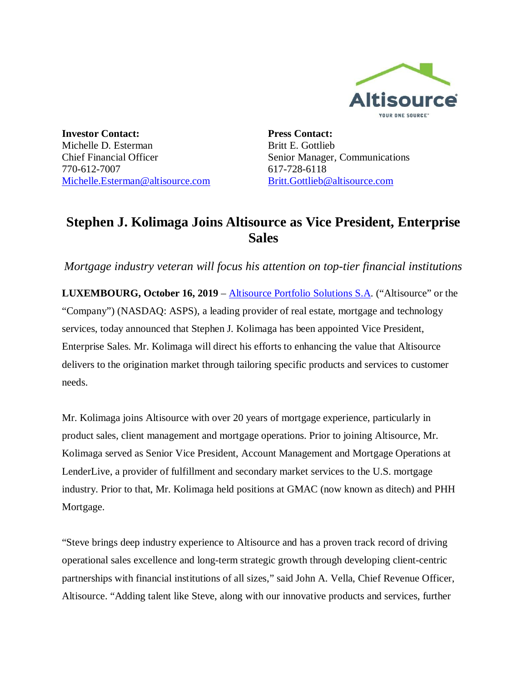

**Investor Contact:** Michelle D. Esterman Chief Financial Officer 770-612-7007 Michelle.Esterman@altisource.com **Press Contact:** Britt E. Gottlieb Senior Manager, Communications 617-728-6118 Britt.Gottlieb@altisource.com

## **Stephen J. Kolimaga Joins Altisource as Vice President, Enterprise Sales**

*Mortgage industry veteran will focus his attention on top-tier financial institutions*

**LUXEMBOURG, October 16, 2019** – **Altisource Portfolio Solutions S.A.** ("Altisource" or the "Company") (NASDAQ: ASPS), a leading provider of real estate, mortgage and technology services, today announced that Stephen J. Kolimaga has been appointed Vice President, Enterprise Sales. Mr. Kolimaga will direct his efforts to enhancing the value that Altisource delivers to the origination market through tailoring specific products and services to customer needs.

Mr. Kolimaga joins Altisource with over 20 years of mortgage experience, particularly in product sales, client management and mortgage operations. Prior to joining Altisource, Mr. Kolimaga served as Senior Vice President, Account Management and Mortgage Operations at LenderLive, a provider of fulfillment and secondary market services to the U.S. mortgage industry. Prior to that, Mr. Kolimaga held positions at GMAC (now known as ditech) and PHH Mortgage.

"Steve brings deep industry experience to Altisource and has a proven track record of driving operational sales excellence and long-term strategic growth through developing client-centric partnerships with financial institutions of all sizes," said John A. Vella, Chief Revenue Officer, Altisource. "Adding talent like Steve, along with our innovative products and services, further